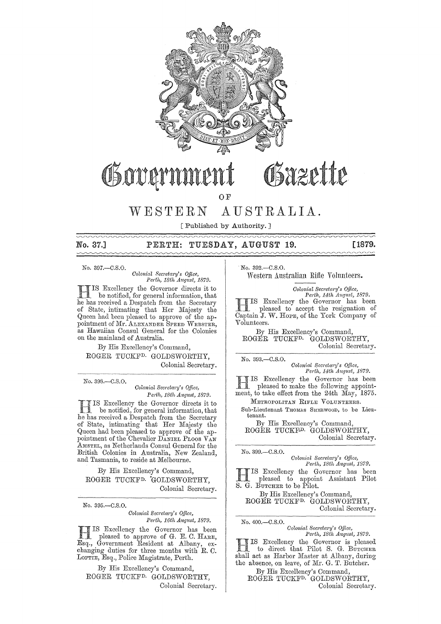

# OSazette Govarn

OF

## WESTERN AUSTRALIA.

[Published by Authority. ]

### No. 37.] PERTH: TUESDAY, AUGUST 19. [1879.

No. 397,-C.S.O.

 $Colonial$  Secretary's Office,  $Perth, 18th$  *August, 1879.* 

HIS Excellency the Governor directs it to . . be notified, for general information, that he has received a Despatch from the Secretary of State, intimating that Her Majesty the Queen had been pleased to approve of the appointment of Mr. ALEXANDER SPEED WEBSTER, as Hawaiian Consul General for the Colonies on the mainland of Australia.

By His Excellency's Command, ROGER TUCKFD. GOLDSWORTHY, Colonial· Secretary.

No. 39S.-C.S.O.

*Colonial SeC1'etal'y's Office, Perth, 18th August, 1879.* 

IIS Excellency the Governor directs it to<br>the has received a Despatch from the Secretary IS Excellency the Governor directs it to be notified, for general information, that of State, intimating that Her Majesty the Queen had been pleased to approve of the appointment of the Chevalier DANIEL PLOOS VAN AMSTEL, as Netherlands Consul General for the British Colonies in Australia, New Zealand, and Tasmania, to reside at Melbourne.

By His Excellency's Command, ROGER TUCKFD. 'GOLDSWORTHY, Colonial Secretary.

No. 395.-C.S.O.

*Colonial Secretary's Office, Perth, 16th August, 1879.* 

HIS Excellency the Governor has been pleased to approve of G. E. C. HARE, Esq., Government Resident at Albany, ex- changing duties for three months with R. C. LOFTIE, Esq., Police Magistrate, Perth.

By His Excellency's Command, ROGER TUCKFD. GOLDSWORTHY, Colonial Secretary. No. 392.-C.S.O.

Western Australian Rifle Volunteers.

*Colonial Secretcwy's Office, Perth, 14th August, 1879.*<br>
HIS Excellency the Governor has been<br>
pleased to accept the resignation of<br>
Contain LW Hope of the York Company of pleased to accept the resignation of Captain J. W. HOPE, of the York Company of

Volunteers. By His Excellency's Command, ROGER TUCKFD. GOLDSWORTHY,

Colonial Secretary.

No. 393.-C.S.O.

*Colonial Secretary's Office,*<br> *Perth, 14th August, 1879.* 

IS Excellency the Governor has been<br>ment, to take effect from the 24th May, 1875. IS Excellency the Governor has been pleased to make the following appoint-METROPOLITAN RIFLE VOLUNTEERS.

Sub-Lieutenant THOMAS SHERWOOD, to be Lieutenant.

By His Excellency's Command, ROGER TUCKF<sup>D.</sup> GOLDSWORTHY, Colonial Secretary.

No. 399.-C.S.O.

*Colon'ia,l Seaetal'y's Office, Path, 18th August, 1879.*  HIS Excellency the Governor has been pleased to appoint Assistant Pilot S. G. BUTCHER to be Pilot. By His Excellency's Command,

ROGER TUCKFD. GOLDSWORTHY, Colonial Secretary.

No. 400.-C.S.O. *Colonial Sec)'etgry's Office, Perth, 18th August, 1879.*  **HIS Excellency the Governor is pleased** to direct that Pilot S. G. BUTCHER shall act as Harbor Master at Albany, during the absence, on leave, of Mr. G. T. Butcher. By His Excellency's Command,

ROGER TUCKF<sup>D.</sup> GOLDSWORTHY, Colonial Secretary.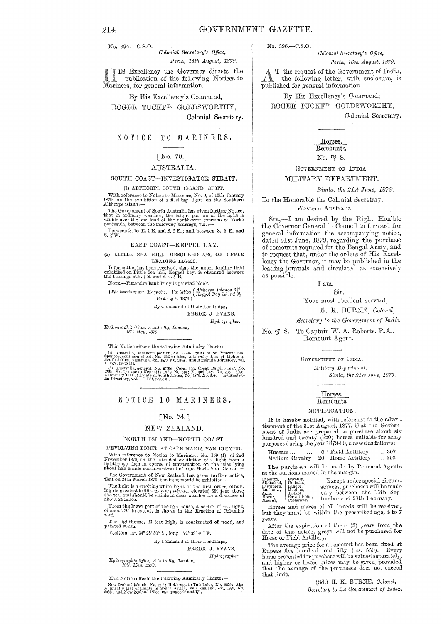No. 394.-C.S.O.

Colonial Secretary's Office, Perth, 14th August, 1879.

IIS Excellency the Governor directs the publication of the following Notices to Mariners, for general information.

By His Excellency's Command, ROGER TUCKF<sup>D.</sup> GOLDSWORTHY, Colonial Secretary.

NOTICE TO MARINERS.

### $[No. 70.]$

### AUSTRALIA.

#### SOUTH COAST-INVESTIGATOR STRAIT.

#### (1) ALTHORPE SOUTH ISLAND LIGHT.

With reference to Notice to Mariners, No. 9, of 10th January 1879, on the exhibition of a flashing light on the Southern Althorpe island :—

The Government of South Australia has given further Notice,<br>that in ordinary weather, the bright portion of the light is<br>visible over the low land of the south-west extreme of Yorke<br>peninsula, between the following bearing

Between S. by E.  $\frac{1}{4}$  E. and S.  $\frac{4}{4}$  E., and between S.  $\frac{1}{2}$  E. and S.  $\frac{3}{2}$  W.

#### EAST COAST-KEPPEL BAY.

#### (2) LITTLE SEA HILL,-OBSCURED ARC OF UPPER LEADING LIGHT.

Information has been received, that the upper leading light exhibited on Little Sea hill, Keppel bay, is obscured between the bearings S.E.  $\frac{1}{2}$  S. and S.E.  $\frac{1}{2}$  E.

NOTE.-Timandra bank buoy is painted black.

(The bearings are Magnetic, Variation (Althorpe Islands  $3\frac{3}{4}^{\circ}$ )<br>Easterly in 1970 ) Easterly in 1879.)

By Command of their Lordships.

FREDK. J. EVANS, Hydrographer.

Hydrographic Office, Admiralty, London,<br>15th May, 1879.

This Notice affects the following Admiralty Charts: $\leftarrow$ 

(1) Australia, southern portion, No. 2759b; gulfs of St. Vincent and Spencer, southern sheet, No. 2389 $a$ : Also, Admiralty List of Lights in South Africa, Australia, &c., 1870, No. 234 $\alpha$ ; and Australia Directory, vol. 1

1, 1990 112, general, No. 2750a ; Coral sea, Great Barrier reef, No. 2750 ; Sandy cape to Keppel islands, No. 315 ; Keppel bay, No. 335 : Also, Admirally List of Lights in South Africa, &c., 1879, No. 268a ; and Australian

### NOTICE TO MARINERS.

### [No. 74.]

### NEW ZEALAND.

### NORTH ISLAND-NORTH COAST.

### REVOLVING LIGHT AT CAPE MARIA VAN DIEMEN.

With reference to Notice to Mariners, No. 159 (1), of 2nd November 1878, on the intended exhibition of a light from a light<br>house then in course of construction on the islet lying about half a mile north-westward of cape

The Government of New Zealand has given further notice,<br>that on 24th March 1879, the light would be exhibited :-

The light is a revolving white light of the first order, attaining its greatest brilliancy every minute, elevated 330 feet above the sca, and should be visible in clear weather for a distance of about 24 miles.

From the lower part of the lighthouse, a sector of red light, of about 30° in extent; is shown in the direction of Columbia

The lighthouse, 20 feet high, is constructed of wood, and painted white.

Position, lat. 34° 28' 30" S., long. 172° 38' 40" E.

By Command of their Lordships,

FREDK, J. EVANS.

Hydrographer.

Hydrographic Office, Admiralty, London, 19th May, 1879.

This Notice affects the following Admiralty Charts :-

New Zealand Islands, No. 1212; Hokianga to Tutukaka, No. 2525; Also Admiralty List of Lights in South Africa, New Zealand, &c., 1870, No. 3686; and New Zealand Pilot, 1875, pages 27 and 171.

No. 396 .- C.S.O.

Colonial Secretary's Office, Perth, 16th August, 1879.

T the request of the Government of India. the following letter, with enclosure, is published for general information.

By His Excellency's Command, ROGER TUCKF<sup>D.</sup> GOLDSWORTHY, Colonial Secretary.

#### Horses. Remounts.

No.  $\frac{78}{9}$  S.

### GOVERNMENT OF INDIA. MILITARY DEPARTMENT.

Simla, the 21st June, 1879.

To the Honorable the Colonial Secretary, Western Australia.

SIR,-I am desired by the Right Hon'ble the Governor General in Council to forward for general information the accompanying notice, dated 21st June, 1879, regarding the purchase of remounts required for the Bengal Army, and to request that, under the orders of His Excellency the Governor, it may be published in the leading journals and circulated as extensively as possible.

#### I am.

Sir,

Your most obedient servant,

H. K. BURNE, Colonel,

Secretary to the Government of India.

 $\rm No.$   $\rm _{D}^{\text{52}}$  S. To Captain W. A. Roberts, R.A., Remount Agent.

> GOVERNMENT OF INDIA. Military Department, Simla, the 21st June, 1879.

#### Horses. Remounts.

#### NOTIFICATION.

It is hereby notified, with reference to the advertisement of the 31st August, 1877, that the Government of India are prepared to purchase about six hundred and twenty  $(620)$  horses suitable for army purposes during the year 1879-80, classed as follows :-

| Hussars<br>$\cdots$ | 0   Field Artillery  | $ -$ | -307 |
|---------------------|----------------------|------|------|
| Medium Cavalry      | 20   Horse Artillery |      | 293  |

The purchases will be made by Remount Agents at the stations named in the margin.

| Calcutta.<br>Allahabad, Umballa.<br>Cawnpore,<br>Lucknow.<br>Agra,<br>Morar,<br>Meerut. | . Barcilly,<br>Lahore.<br>Mooltan.<br>Sialkot,<br>Rawal Pindi,<br>Peshawar. | Except under special circum-<br>stances, purchases will be made<br>only between the 15th Sep-<br>tember and 28th February. |
|-----------------------------------------------------------------------------------------|-----------------------------------------------------------------------------|----------------------------------------------------------------------------------------------------------------------------|
|                                                                                         |                                                                             |                                                                                                                            |

Horses and mares of all breeds will be received, but they must be within the prescribed age,  $4$  to  $7$ years.

After the expiration of three  $(3)$  years from the date of this notice, greys will not be purchased for Horse or Field Artillery.

The average price for a remount has been fixed at Rupees five hundred and fifty (Rs. 550). Every horse presented for purchase will be valued separately, and higher or lower prices may be given, provided<br>that the average of the purchases does not exceed that limit.

> (Sd.) H. K. BURNE, Colonel, Secretary to the Government of India.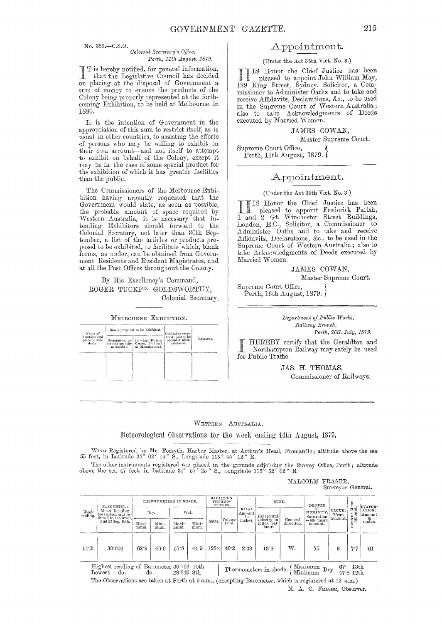No. 389.-C.S.O.

#### *Colonial Secretary's Office, Perth, 11th August, 1879.*

is hereby notified, for general information, that the Legislative Council has decided on placing at the disposal of Government a sum of money to ensure the products of the Colony being properly represented at the forthcoming Exhibition, to be held at Melbourne in 1880.

It is the intention of Government in the appropriation of this sum to restrict itself, as is usual in other countries, to assisting the efforts of persons who may be willing to exhibit on their own account-and not itself to attempt to exhibit on behalf of the Colony, except it may be in the case of some special product for the exhibition of which it has greater facilities than the public.

The Commissioners of the Melbourne Exhibition having urgently requested that the Government would state, as soon as possible, the probable amount of space required by 1Vestern Australia, it is necessary that intending Exhibitors should forward to the Colonial Secretary, not later than 30th September, a list of the articles or products proposed to be exhibited, to facilitate which, blank forms, as under, can be obtained from Government Residents and Resident Magistrates, and at all the Post Offices throughout the Colony.

### By His Excellency's Command, ROGER TUCKFD. GOLDSWORTHY, Colonial Secretary.

MELBOURNE EXHIBITION.

| Name of<br>Exhibitor and<br>place of resi-<br>dence. |            | Goods proposed to be Exhibited.                                                               | Cubical or super-                                 |          |
|------------------------------------------------------|------------|-----------------------------------------------------------------------------------------------|---------------------------------------------------|----------|
|                                                      | or number. | Description, in-1 In which District<br>cluding quantity   Grown, Produced<br>or Manufactured. | ficial space to be<br>occupied when<br>exhibited. | Remarks. |
|                                                      |            |                                                                                               |                                                   |          |
|                                                      |            |                                                                                               |                                                   |          |

### Appointment.

(Under the Act 35th Vict. No. 3.)

IS Honor the Chief Justice has been -i pleased to appoint John William May, 129 King Street, Sydney, Solicitor, a Commissioner to Administer Oaths and to take and receive Affidavits, Declarations, &c., to be used in the Supreme Court of Western Australia; also to take Acknowledgments of Deeds executed by Married Women.

### JAMES COWAN,

Master Supreme Court.

Supreme Court Office, Perth, 11th August, 1879.  $\hat{\ }$ 

### Appointment.

### (Under the Act 35th Vict. No. 3.)

Honor the Chief Justice has been pleased to appoint Frederick Parish, 1 and 2 Gt. Winchester Street Buildings, London, E.C., Solicitor, a Commissioner to A dminister Oaths and to take and receive Affidavits, Declarations, &c., to be used in the Supreme Court of Western Australia; also to take Acknowledgments of Deeds executed by Married Women.

> JAMES COWAN, Master Supreme Court.

Supreme Court Office, 1 Perth, 16th August, 1879.  $\tilde{}$ 

> *Department of Public Works, Railway Branch, Perth, 26th July, 1879.*

HEREBY certify that the Geraldton and Northampton Railway may safely be used for Public Traffic.

> JAS. H. THOMAS, Commissioner of Railways.

WESTERN AUSTRALIA.

~Ieteorological Observations for the week ending 14th August, 1879.

WIND Registered by Mr. Forsyth, Harbor Master, at Arthur's Head, Fremantle; altitude above the sea 55 feet, in Latitude 32° 02' 14" S., Longitude 115° 45' 12" E.

The other instruments registered are placed in the grounds adjoining the Survey Office, Perth; altitude above the sea 47 feet, in Latitude 31° 57' 25" S., Longitude 115° 52' 02" E.

MALCOLM FRASER, Surveyor General.

| Week<br>ending.  | BAROMETER:                                                | THERMOMETERS IN SHADE. |               |               | RADIATION<br>THERMO-<br>METERS. |                                  | WIND.                     |      | DEGREE                                         |                           | $\frac{\text{Mean}}{\text{nt}}$ | EVAPOR-                                                |        |            |
|------------------|-----------------------------------------------------------|------------------------|---------------|---------------|---------------------------------|----------------------------------|---------------------------|------|------------------------------------------------|---------------------------|---------------------------------|--------------------------------------------------------|--------|------------|
|                  | Mean Reading<br>corrected, and re-<br>duced to sea level, | Wet.<br>Dry.           |               |               | Terres-                         | RAIN:<br>Amount<br>in<br>inches. | Horizontal<br>velocity in |      | OF<br>HUMIDITY.<br>Saturation<br>$=100$ ; mean | CLOUD:<br>Mean<br>amount. | 2<br>$\frac{0}{2}$              | ATION:<br>Amount<br>$\frac{\text{in}}{\text{inches.}}$ |        |            |
|                  | and 32 deg. Fah.                                          | Maxi-<br>mum.          | Mini-<br>mum. | Maxi-<br>mum. | Mini-<br>mum.                   | Solar.                           | trial.                    |      | miles, per<br>hour.                            | General<br>direction.     | amount.                         |                                                        | Ñ<br>ö |            |
|                  |                                                           | 62.9                   | 46.9          | 57.8          | 44.9                            | $128 - 4$                        | 40.2                      | 2.39 | 13.8                                           | w.                        | 75                              | 6                                                      | $H_7$  |            |
| 14 <sub>th</sub> | 30.006                                                    |                        |               |               |                                 |                                  |                           |      |                                                |                           |                                 |                                                        |        | $\cdot 61$ |

Highest reading of Barometer 30'166 10th Thermometers in shade. {Maximum Dry 67' 13th Lowest do. do. 29'849 8th Thermometers in shade. {Minimum Dry 47'8 12th The Observations are taken at Perth at 9 a.m., (excepting Barometer, which is registered at 12 a.m.)

M. A. C. FRASER, Observer.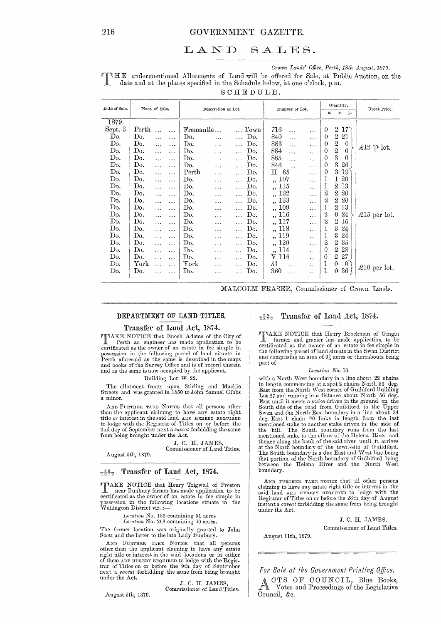### GOVERNMENT GAZETTE.

#### SALES. LAND

Crown Lands' Office, Perth, 18th August, 1879.

THE undermentioned Allotments of Land will be offered for Sale, at Public Auction, on the date and at the places specified in the Schedule below, at one o'clock, p.m.

SCHEDULE.

| Date of Sale. |              | Place of Sale. |           | Description of Lot.   |           | Number of Lot. |      |                                 | Quantity.<br>r.<br>a.<br>р. |           |                  | Upset Price.            |                 |                         |
|---------------|--------------|----------------|-----------|-----------------------|-----------|----------------|------|---------------------------------|-----------------------------|-----------|------------------|-------------------------|-----------------|-------------------------|
| 1879.         |              |                |           |                       |           |                |      |                                 |                             |           |                  |                         |                 |                         |
| Sept. 3       | Perth        | $\ddotsc$      | $\cdots$  | Fremantle             |           |                | Town | 716                             | $\ddotsc$                   |           | $\theta$         | 2                       | $17\char`$      |                         |
| Do.           | Do.          | .              | .         | Do.                   | $\ddotsc$ | .              | Do.  | 840                             | $\ddotsc$                   | .         | $\bf{0}$         | $\boldsymbol{2}$        | 21              |                         |
| Do.           | Do.          | $\ddotsc$      | .         | Do.                   | $\cdots$  | $\ddotsc$      | Do.  | 883                             | $\ddotsc$                   | .         | $\mathbf 0$      | $\boldsymbol{2}$        | $\theta$        |                         |
| Do.           | Do.          |                | $\ddotsc$ | Do.                   | $\cdots$  | $\ddotsc$      | Do.  | 884                             | $\ddotsc$                   | .         | $\theta$         | $\overline{\mathbf{2}}$ | $\theta$        | £12 $\mathfrak{P}$ lot. |
| Do.           | Do.          | $\ddotsc$      |           | Do.                   | $\cdots$  | $\ldots$       | Do.  | 885                             | $\ddotsc$                   | .         | $\theta$         | 3                       | $\theta$        |                         |
| Do.           | Do.          |                | $\ddotsc$ | Do.                   |           | $\ddotsc$      | Do.  | 846                             | $\ddotsc$                   | $\cdots$  | 0                | 3                       | $26$ .          |                         |
| Do.           | Do.          | .              | $\cdots$  | Perth                 | $\cdots$  | $\cdots$       | Do.  | $\rm{H}$                        | 65                          | .         | 0                | 3                       | 19 <sup>°</sup> |                         |
| Do.           | Do.          | $\ddotsc$      | .         | Do.                   | $\cdots$  | $\ldots$       | Do.  | 107<br>$\overline{1}$           |                             | .         | 1                | 1                       | 20              |                         |
| Do.           | Do.          | $\ddotsc$      | $\cdots$  | Do.                   | $\cdots$  |                | Do.  | ,, 115                          |                             | .         | 1                | $\boldsymbol{2}$        | 13              |                         |
| Do.           | Do.          | .              | $\ddotsc$ | Do.                   | .         | $\ldots$       | Do.  | ,, 132                          |                             | $\cdots$  | $\boldsymbol{2}$ | $\boldsymbol{2}$        | 20              |                         |
| Do.           | Do.          |                |           | Do.                   | $\cdots$  | $\cdots$       | Do.  | 133<br>,                        |                             | .         | $\overline{2}$   | 2                       | 20              |                         |
| Do.           | Do.          | $\ddotsc$      | $\cdots$  | Do.                   | $\ddotsc$ | $\ddotsc$      | Do.  | 109<br>$\overline{\mathbf{5}}$  |                             | .         | 1                | $^{2}$                  | 13              |                         |
| Do.           | Do.          |                | $\ddotsc$ | Do.                   |           | $\cdots$       | Do.  | ,, 116                          |                             | .         | $\boldsymbol{2}$ | $\theta$                | 24              | £15 per lot.            |
| Do.           | Do.          | .              |           | Do.                   | $\cdots$  | .              | Do.  | 117<br>,                        |                             | $\cdots$  | $\boldsymbol{2}$ | $\boldsymbol{2}$        | 16              |                         |
| Do.           | Do.          | .              | $\cdots$  | Do.                   |           | $\cdots$       | Do.  | 118<br>$\overline{\phantom{a}}$ |                             | .         | 1                | 3                       | 24              |                         |
| Do.           | Do.          | $\ddotsc$      | $\ddotsc$ | Do.                   | $\cdots$  | $\cdots$       | Do.  | 119<br>,                        |                             | .         | 1                | 3                       | $24\,$          |                         |
| Do.           | Do,          |                | .         | Do.                   | $\cdots$  | .              | Do.  | 120<br>$, \cdot$                |                             | $\ddotsc$ | $\overline{2}$   | 2                       | 35              |                         |
| Do.           | Do.          | $\ddotsc$      | $\ldots$  | Do.                   | .         | $\ddotsc$      | Do.  | 114<br>,                        |                             | $\ddotsc$ | 0                | 2                       | 28              |                         |
| Do.           | Do.          | $\ddotsc$      | $\ddotsc$ | Do.                   | .         | $\ddotsc$      | Do.  | ${\rm v}$ 116                   |                             | .         | $\theta$         | 2                       | 27              |                         |
| Do.           | ${\rm York}$ | $\ddotsc$      | $\cdots$  | $\operatorname{York}$ | $\cdots$  | $\cdots$       | D٥.  | 51                              | $\ddotsc$                   | $\ldots$  | 1                | $\theta$                | 0               | $\pounds10$ per lot.    |
| Do.           | Do.          |                |           | Do.                   | $\cdots$  |                | Do.  | 360                             | $\cdots$                    | $\ddotsc$ | 1                | 0                       | 36              |                         |
|               |              |                |           |                       |           |                |      |                                 |                             |           |                  |                         |                 |                         |

MALCOLM FRASER, Commissioner of Crown Lands.

#### DEPARTMENT OF LAND TITLES.

### Transfer of Land Act, 1874.

**TIAKE NOTICE** that Enoch Adams of the City of Perth an engineer has made application to be certificated as the owner of an estate in fee simple in commentation in the following parcel of land situate in<br>persession in the following parcel of land situate in<br>Perth aforesaid as the same is described in the maps<br>and books of the Survey Office and is of record therein<br>and

#### Building Lot W 22.

The allotment fronts upon Stirling and Mackie Streets and was granted in  $1850$  to John Samuel Gibbs a minor.

AND FURTHER TAKE NOTICE that all persons other than the applicant claiming to have any estate right<br>title or interest in the said land ARE HEREBY REQUIRED to lodge with the Registrar of Titles on or before the 2nd day of September next a *caveat* forbidding the same from being brought under the Act.

> J. C. H. JAMES, Commissioner of Land Titles.

August 5th, 1879.

### $\frac{55}{1879}$  Transfer of Land Act, 1874.

TAKE NOTICE that Henry Trigwell of Preston near Bunbury farmer has made application to be certificated as the owner of an estate in fee simple in possession in the following locations situate in the Wellington District viz.:-

Location No. 189 containing 51 acres

Location No. 268 containing 60 acres.

The former location was originally granted to John Scott and the latter to the late Lady Bunbury.

AND FURTHER TAKE NOTICE that all persons other than the applicant claiming to have any estate Fight title or interest in the said locations or in either of them ARE HEREBY REQUIRED to lodge with the Registrar of Titles on or before the 9th day of September next a caveat forbidding the same from being brought under the Act.

August 5th, 1879.

J. C. H. JAMES. Commissioner of Land Titles.

### $\frac{35}{1879}$  Transfer of Land Act, 1874.

TIAKE NOTICE that Henry Brockman of Gingin farmer and grazier has made application to be certificated as the owner of an estate in fee simple in the following parcel of land situate in the Swan District and comprising an area of  $9\frac{1}{4}$  acres or thereabouts being part of

#### Location No. 16

with a North West boundary in a line about 22 chains with a North West boundary in a line about 22 thans<br>in length commencing at a spot 2 chains North 56 deg.<br>East from the North West corner of Guildford Building Lot 27 and running in a distance about North 56 deg. East until it meets a stake driven in the ground on the<br>South side of the road from Guildford to the Upper<br>Swan and the North East boundary in a line about 34 deg. East 1 chain 90 links in length from the last mentioned stake to another stake driven in the side of the hill. The South boundary runs from the last<br>mentioned stake to the elbow of the Helena River and thence along the bank of the said river until it arrives and the North boundary of the town-site of Guildford.<br>The South boundary is a due East and West line being<br>that portion of the North boundary of Guildford lying<br>between the Helena River and the North West boundary.

AND FURTHER TAKE NOTICE that all other persons claiming to have any estate right title or interest in the said land ARB HERBEY REQUIRED to lodge with the Registrar of Titles on or before the 28th day of August instant a *caveat* forbidding the same from being brought under the Act.

> J. C. H. JAMES, Commissioner of Land Titles.

August 11th, 1879.

### For Sale at the Government Printing Office.

CTS OF COUNCIL, Blue Books, Votes and Proceedings of the Legislative Council, &c.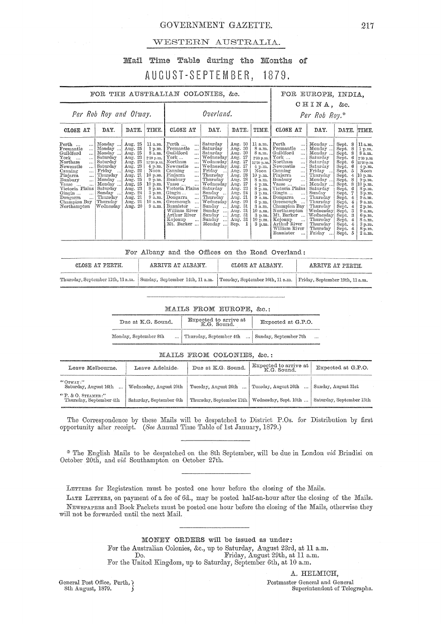### GOVERNMENT GAZETTE.

### WESTERN AUSTRALIA.

## Mail Time Table during the Months of AUGUST-SEPTEMBER, 1879.

| FOR THE AUSTRALIAN COLONIES, &c.                                                                                                                                                                                                                                                                                                                                                                                                                                                 |                                                                                                                                                                      |                                                                                                                                                                           |                                                                                                                                                                                                                                                                                                                                                                                                                                         |                                                                                                                                                                                                                                              |                                                                                                                                                                                                                           |                                                                                                                                                                                                         | FOR EUROPE, INDIA.                                                                                                                                                                                                                                                                                                                                                                                                               |                                                                                                                                                                                                                                            |                                                                                                                                                                                                                                          |                                                                                                                                                                                                                        |  |  |  |
|----------------------------------------------------------------------------------------------------------------------------------------------------------------------------------------------------------------------------------------------------------------------------------------------------------------------------------------------------------------------------------------------------------------------------------------------------------------------------------|----------------------------------------------------------------------------------------------------------------------------------------------------------------------|---------------------------------------------------------------------------------------------------------------------------------------------------------------------------|-----------------------------------------------------------------------------------------------------------------------------------------------------------------------------------------------------------------------------------------------------------------------------------------------------------------------------------------------------------------------------------------------------------------------------------------|----------------------------------------------------------------------------------------------------------------------------------------------------------------------------------------------------------------------------------------------|---------------------------------------------------------------------------------------------------------------------------------------------------------------------------------------------------------------------------|---------------------------------------------------------------------------------------------------------------------------------------------------------------------------------------------------------|----------------------------------------------------------------------------------------------------------------------------------------------------------------------------------------------------------------------------------------------------------------------------------------------------------------------------------------------------------------------------------------------------------------------------------|--------------------------------------------------------------------------------------------------------------------------------------------------------------------------------------------------------------------------------------------|------------------------------------------------------------------------------------------------------------------------------------------------------------------------------------------------------------------------------------------|------------------------------------------------------------------------------------------------------------------------------------------------------------------------------------------------------------------------|--|--|--|
| Per Rob Roy and Otway.                                                                                                                                                                                                                                                                                                                                                                                                                                                           |                                                                                                                                                                      |                                                                                                                                                                           | Overland.                                                                                                                                                                                                                                                                                                                                                                                                                               |                                                                                                                                                                                                                                              |                                                                                                                                                                                                                           |                                                                                                                                                                                                         | CHINA, &c.<br>Per Rob Roy.*                                                                                                                                                                                                                                                                                                                                                                                                      |                                                                                                                                                                                                                                            |                                                                                                                                                                                                                                          |                                                                                                                                                                                                                        |  |  |  |
| DAY.<br>CLOSE AT                                                                                                                                                                                                                                                                                                                                                                                                                                                                 | DATE.                                                                                                                                                                | TIME.                                                                                                                                                                     | CLOSE AT                                                                                                                                                                                                                                                                                                                                                                                                                                | DAY.                                                                                                                                                                                                                                         | DATE.                                                                                                                                                                                                                     | TIME.                                                                                                                                                                                                   | CLOSE AT                                                                                                                                                                                                                                                                                                                                                                                                                         | DAY.                                                                                                                                                                                                                                       | DATE.                                                                                                                                                                                                                                    | TIME                                                                                                                                                                                                                   |  |  |  |
| Monday<br>$Perth$<br><br>Monday<br>$\cdots$<br>Guildford<br>Monday<br>$\ddotsc$<br>$\operatorname{York}$<br>Saturday<br>$\ddotsc$<br>Saturday<br>$_{\rm Northam}$<br>$\ddotsc$<br>Saturday<br>Newcastle<br>$\cdots$<br>Friday<br>Canning<br>$\cdots$<br>Pinjarra<br>Thursday<br>$\cdots$<br>Bunbury<br>Monday<br>Vasse<br>Monday<br>$\ddotsc$<br>Victoria Plains<br>Saturday<br>Sunday<br>Gingin<br>Dongarra<br>Thursday<br>Champion Bay<br>Thursday<br>Northampton<br>Wednesdav | Aug. 25<br>25<br>Aug.<br>Aug. 25<br>Aug. 23<br>Aug. 23<br>Aug. 23<br>Aug. 22<br>Aug. 21<br>Aug. 25<br>Aug. 25<br>Aug. 23<br>Aug. 24<br>Aug. 21<br>Aug. 21<br>Aug. 20 | 11 a.m.<br>1 p.m.<br>8 a.m.<br>2.30 p.m.<br>12.30 p.m.<br>Noon 1<br>$9 \text{ p.m.}$<br>$10 \text{ p.m.}$<br>8 p.m.<br>$3 \text{ p.m.}$ 1<br>9 a.m. I<br>10 a.m.<br>9a.m. | Perth<br>$\cdots$<br>Fremantle<br>$\cdots$<br>Guildford<br>$\cdots$<br>$\operatorname{York} \dots$<br>$\cdots$<br>Northam<br>$\ddotsc$<br>4 p.m.   Newcastle<br>$\cdots$<br>Canning<br>$\cdots$<br>10 p.m. Pinjarra<br>Bunbury<br>!<br>Vasse<br>Victoria Plains<br>Gingin<br>$\cdots$<br>Dongarra<br>$\cdots$<br>Greenough<br>$\cdots$<br>Bannister<br>$\ddotsc$<br>William River<br>Arthur River<br>Kojonup<br>$\ddotsc$<br>Mt. Barker | Saturday<br>Saturday<br>Saturday<br>Wednesday<br>Wednesday<br>Wednesday<br>Friday<br>Thursday<br>Thursday<br>Wednesday<br>Saturday<br>Sunday<br>Thursday<br>Wednesday<br>$Sumday$<br>Sunday<br>$\cdots$<br>Sunday<br>Sunday<br>ا ا<br>Monday | Aug. 30<br>Aug. 30<br>Aug. 30<br>Aug. 27<br>Aug. 27<br>Aug. 27<br>Aug. 29<br>Aug. 28<br>28<br>Aug.<br>27<br>Aug.<br>Aug. 23<br>-24<br>Aug.<br>Aug. 21<br>Aug. 20<br>Aug. 31<br>Aug. 31<br>Aug. 31<br>Aug. 31<br>Sep.<br>1 | 11 a.m.<br>8 a.m.<br>8 a.m.<br>2.30 p.m.<br>12'30 p.m.<br>$4$ p.m.<br>Noon<br>10 p.m.<br>8 a.m.<br>$4$ p.m.<br>8 p.m.<br>3 p.m.<br>9 a.m.<br>6 p.m.<br>3 a.m.<br>10 a.m.<br>3 p.m.<br>10 p.m.<br>3 p.m. | Perth<br>$\ddotsc$<br>Fremantle<br>$\ddotsc$<br>Guildford<br><br>York<br>$\cdots$<br>Northam<br>$\ddotsc$<br>Newcastle<br>$\ddotsc$<br>Canning<br><br>Pinjarra<br>$\ddotsc$<br>Bunbury<br><br>Vasse<br>$\ddotsc$<br>Victoria Plains<br>Gingin<br>$\ddotsc$<br>Dongarra<br>$\ddotsc$<br>Greenough<br>Champion Bay<br>Northampton<br>Mt. Barker<br>Kojonup<br>$\ddotsc$<br>Arthur River<br>William River<br>Bannister<br>$\ddotsc$ | Monday<br>Monday<br>Monday<br>Saturday<br>Saturday<br>Saturday<br>Friday<br>Thursday<br>Monday<br>Monday<br>Saturday<br>Sunday<br>Thursday<br>Thursday<br>Thursday<br>Wednesday<br>Wednesday<br>Thursday<br>Thursday<br>Thursday<br>Friday | Sept.<br>8<br>Sept.<br>8<br>Sept.<br>s<br>Sept.<br>Sept.<br>6<br>Sept.<br>Sept.<br>Sept.<br>4<br>Sept.<br>Sept.<br>8<br>Sept.<br>Sept.<br>Sept. 4<br>Sept. 4<br>Sept. 4<br>Sept.<br>Sept.<br>Sept.<br>4<br>Sept. 4<br>Sept. 4<br>Sept. 5 | 11a.m<br>$1~\mathrm{p}$ m<br>8a.m<br>2:30 p.n<br>12'30 p.n<br>4 p.m<br>Noon<br>10 p.m<br>9 թ.ա<br>10 p.m<br>8 p.m<br>3p.m<br>9a.m<br>9 a.m<br>2 p.m<br>9 a.m<br>$6\,\mathrm{p}$ .m<br>8 a.m<br>3 p.m<br>8 p.m<br>2 a.m |  |  |  |

For Albany and the Offices on the Road Overland:

| CLOSE AT PERTH.                   | ARRIVE AT ALBANY.                                                                                | CLOSE AT ALBANY. | ARRIVE AT PERTH. |
|-----------------------------------|--------------------------------------------------------------------------------------------------|------------------|------------------|
| Thursday, September 11th, 11 a.m. | Sunday, September 14th, 11 a.m. Tuesday, September 16th, 11 a.m. Triday, September 19th, 11 a.m. |                  |                  |

### MAILS FROM EUROPE, &c.:

| Due at K.G. Sound.    | Expected to arrive at<br>K.G. Sound. | Expected at G.P.O.    |  |  |  |  |
|-----------------------|--------------------------------------|-----------------------|--|--|--|--|
| Monday, September 8th | Thursday, September 4th              | Sunday, September 7th |  |  |  |  |

MAILS FROM COLONIES, &c.:

| Leave Melbourne.                                 | Leave Adelaide.         | Due at K.G. Sound.                               | Expected to arrive at<br>K.G. Sound. | Expected at G.P.O.       |  |
|--------------------------------------------------|-------------------------|--------------------------------------------------|--------------------------------------|--------------------------|--|
| $^{66}$ OTWAY:"<br>Saturday, August 16th         | Wednesday, August 20th  | Tuesday, August 26th                             | Tuesday, August 26th                 | Sunday, August 31st      |  |
| $"P. \& O.$ STEAMER:"<br>Thursday, September 4th | Saturday, September 6th | Thursday, September 11th   Wednesday, Sept. 10th |                                      | Saturday, September 13th |  |

The Correspondence by these Mails will be despatched to District P.Os. for Distribution by first opportunity after receipt. (See Annual Time Table of 1st January, 1879.)

\* The English Mails to be despatched on the 8th September, will be due in London vid Brindisi on October 20th, and vid Southampton on October 27th.

LETTERS for Registration must be posted one hour before the closing of the Mails.

LATE LETTERS, on payment of a fee of 6d., may be posted half-an-hour after the closing of the Mails. NEWSPAPERS and Book Packets must be posted one hour before the closing of the Mails, otherwise they will not be forwarded until the next Mail.

> MONEY ORDERS will be issued as under: For the Australian Colonies, &c., up to Saturday, August 23rd, at 11 a.m. Do. Friday, August 29th, at 11 a.m. For the United Kingdom, up to Saturday, September 6th, at 10 a.m.

General Post Office, Perth, ) 8th August, 1879.

A. HELMICH,

Postmaster General and General Superintendent of Telegraphs.